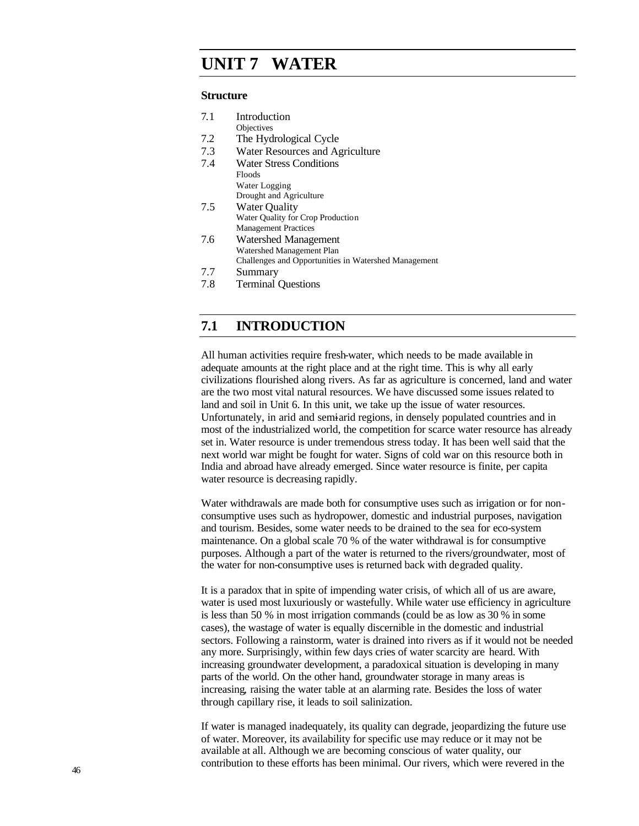# **Challenges UNIT 7 WATER**

#### **Structure**

| 7.1 | Introduction                                         |  |  |
|-----|------------------------------------------------------|--|--|
|     | Objectives                                           |  |  |
| 7.2 | The Hydrological Cycle                               |  |  |
| 7.3 | Water Resources and Agriculture                      |  |  |
| 7.4 | <b>Water Stress Conditions</b>                       |  |  |
|     | Floods                                               |  |  |
|     | Water Logging                                        |  |  |
|     | Drought and Agriculture                              |  |  |
| 7.5 | <b>Water Quality</b>                                 |  |  |
|     | Water Quality for Crop Production                    |  |  |
|     | <b>Management Practices</b>                          |  |  |
| 7.6 | Watershed Management                                 |  |  |
|     | Watershed Management Plan                            |  |  |
|     | Challenges and Opportunities in Watershed Management |  |  |
|     | $\mathbf{C}_{11}$ mmorv                              |  |  |

- 7.7 Summary
- 7.8 Terminal Questions

# **7.1 INTRODUCTION**

All human activities require fresh-water, which needs to be made available in adequate amounts at the right place and at the right time. This is why all early civilizations flourished along rivers. As far as agriculture is concerned, land and water are the two most vital natural resources. We have discussed some issues related to land and soil in Unit 6. In this unit, we take up the issue of water resources. Unfortunately, in arid and semi-arid regions, in densely populated countries and in most of the industrialized world, the competition for scarce water resource has already set in. Water resource is under tremendous stress today. It has been well said that the next world war might be fought for water. Signs of cold war on this resource both in India and abroad have already emerged. Since water resource is finite, per capita water resource is decreasing rapidly.

Water withdrawals are made both for consumptive uses such as irrigation or for nonconsumptive uses such as hydropower, domestic and industrial purposes, navigation and tourism. Besides, some water needs to be drained to the sea for eco-system maintenance. On a global scale 70 % of the water withdrawal is for consumptive purposes. Although a part of the water is returned to the rivers/groundwater, most of the water for non-consumptive uses is returned back with degraded quality.

It is a paradox that in spite of impending water crisis, of which all of us are aware, water is used most luxuriously or wastefully. While water use efficiency in agriculture is less than 50 % in most irrigation commands (could be as low as 30 % in some cases), the wastage of water is equally discernible in the domestic and industrial sectors. Following a rainstorm, water is drained into rivers as if it would not be needed any more. Surprisingly, within few days cries of water scarcity are heard. With increasing groundwater development, a paradoxical situation is developing in many parts of the world. On the other hand, groundwater storage in many areas is increasing, raising the water table at an alarming rate. Besides the loss of water through capillary rise, it leads to soil salinization.

If water is managed inadequately, its quality can degrade, jeopardizing the future use of water. Moreover, its availability for specific use may reduce or it may not be available at all. Although we are becoming conscious of water quality, our contribution to these efforts has been minimal. Our rivers, which were revered in the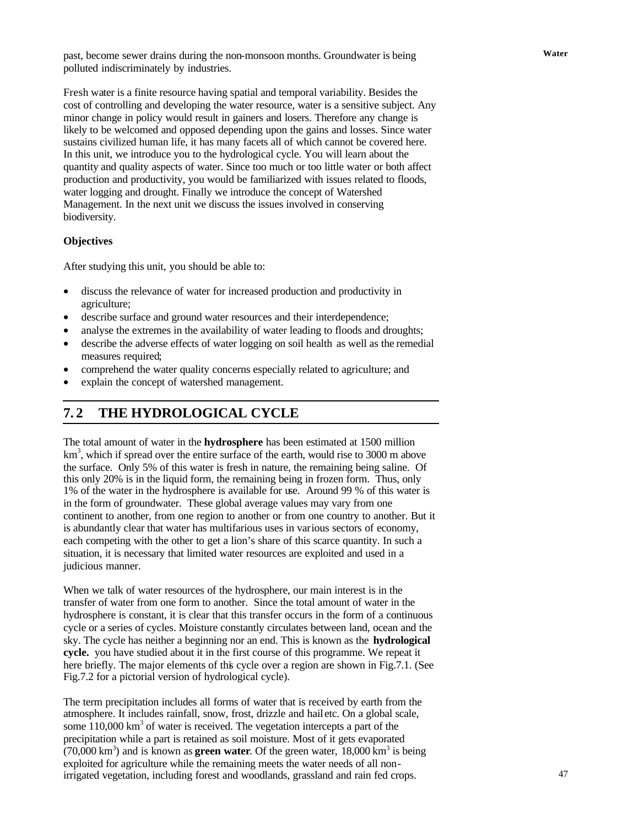**Water** past, become sewer drains during the non-monsoon months. Groundwater is being polluted indiscriminately by industries.

Fresh water is a finite resource having spatial and temporal variability. Besides the cost of controlling and developing the water resource, water is a sensitive subject. Any minor change in policy would result in gainers and losers. Therefore any change is likely to be welcomed and opposed depending upon the gains and losses. Since water sustains civilized human life, it has many facets all of which cannot be covered here. In this unit, we introduce you to the hydrological cycle. You will learn about the quantity and quality aspects of water. Since too much or too little water or both affect production and productivity, you would be familiarized with issues related to floods, water logging and drought. Finally we introduce the concept of Watershed Management. In the next unit we discuss the issues involved in conserving biodiversity.

### **Objectives**

After studying this unit, you should be able to:

- discuss the relevance of water for increased production and productivity in agriculture;
- describe surface and ground water resources and their interdependence;
- analyse the extremes in the availability of water leading to floods and droughts;
- describe the adverse effects of water logging on soil health as well as the remedial measures required;
- comprehend the water quality concerns especially related to agriculture; and
- explain the concept of watershed management.

# **7. 2 THE HYDROLOGICAL CYCLE**

The total amount of water in the **hydrosphere** has been estimated at 1500 million km<sup>3</sup>, which if spread over the entire surface of the earth, would rise to 3000 m above the surface. Only 5% of this water is fresh in nature, the remaining being saline. Of this only 20% is in the liquid form, the remaining being in frozen form. Thus, only 1% of the water in the hydrosphere is available for use. Around 99 % of this water is in the form of groundwater. These global average values may vary from one continent to another, from one region to another or from one country to another. But it is abundantly clear that water has multifarious uses in various sectors of economy, each competing with the other to get a lion's share of this scarce quantity. In such a situation, it is necessary that limited water resources are exploited and used in a judicious manner.

When we talk of water resources of the hydrosphere, our main interest is in the transfer of water from one form to another. Since the total amount of water in the hydrosphere is constant, it is clear that this transfer occurs in the form of a continuous cycle or a series of cycles. Moisture constantly circulates between land, ocean and the sky. The cycle has neither a beginning nor an end. This is known as the **hydrological cycle.** you have studied about it in the first course of this programme. We repeat it here briefly. The major elements of this cycle over a region are shown in Fig.7.1. (See Fig.7.2 for a pictorial version of hydrological cycle).

The term precipitation includes all forms of water that is received by earth from the atmosphere. It includes rainfall, snow, frost, drizzle and hail etc. On a global scale, some  $110,000 \text{ km}^3$  of water is received. The vegetation intercepts a part of the precipitation while a part is retained as soil moisture. Most of it gets evaporated  $(70,000 \text{ km}^3)$  and is known as **green water**. Of the green water,  $18,000 \text{ km}^3$  is being exploited for agriculture while the remaining meets the water needs of all nonirrigated vegetation, including forest and woodlands, grassland and rain fed crops.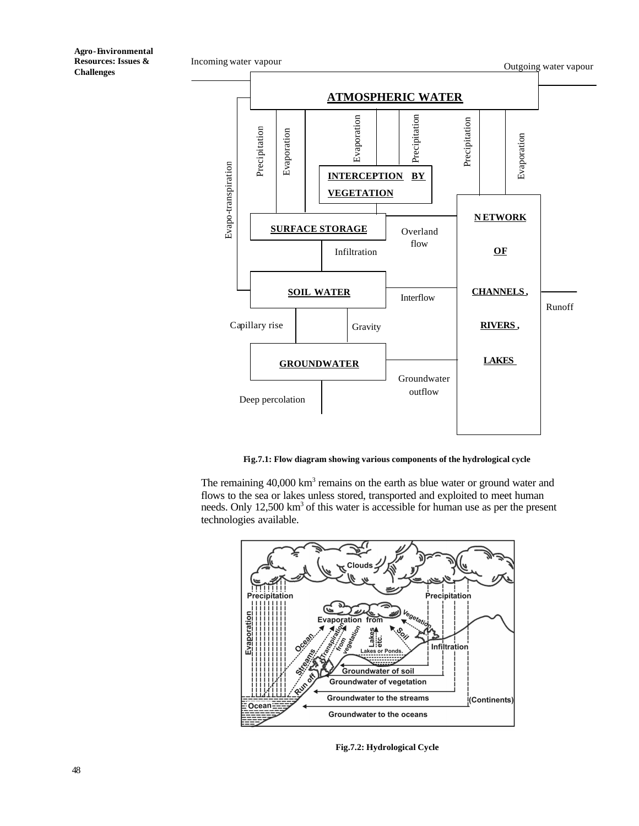

**Fig.7.1: Flow diagram showing various components of the hydrological cycle**

The remaining  $40,000 \text{ km}^3$  remains on the earth as blue water or ground water and flows to the sea or lakes unless stored, transported and exploited to meet human needs. Only  $12,500 \text{ km}^3$  of this water is accessible for human use as per the present technologies available.



Fig.7.2: Hydrological Cycle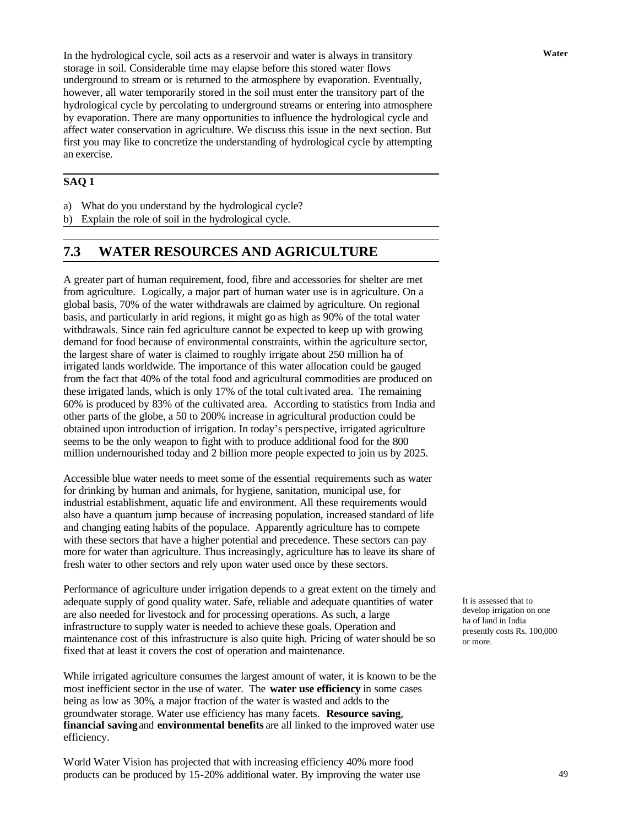In the hydrological cycle, soil acts as a reservoir and water is always in transitory **Water** storage in soil. Considerable time may elapse before this stored water flows underground to stream or is returned to the atmosphere by evaporation. Eventually, however, all water temporarily stored in the soil must enter the transitory part of the hydrological cycle by percolating to underground streams or entering into atmosphere by evaporation. There are many opportunities to influence the hydrological cycle and affect water conservation in agriculture. We discuss this issue in the next section. But first you may like to concretize the understanding of hydrological cycle by attempting an exercise.

## **SAQ 1**

- a) What do you understand by the hydrological cycle?
- b) Explain the role of soil in the hydrological cycle.

# **7.3 WATER RESOURCES AND AGRICULTURE**

A greater part of human requirement, food, fibre and accessories for shelter are met from agriculture. Logically, a major part of human water use is in agriculture. On a global basis, 70% of the water withdrawals are claimed by agriculture. On regional basis, and particularly in arid regions, it might go as high as 90% of the total water withdrawals. Since rain fed agriculture cannot be expected to keep up with growing demand for food because of environmental constraints, within the agriculture sector, the largest share of water is claimed to roughly irrigate about 250 million ha of irrigated lands worldwide. The importance of this water allocation could be gauged from the fact that 40% of the total food and agricultural commodities are produced on these irrigated lands, which is only 17% of the total cultivated area. The remaining 60% is produced by 83% of the cultivated area. According to statistics from India and other parts of the globe, a 50 to 200% increase in agricultural production could be obtained upon introduction of irrigation. In today's perspective, irrigated agriculture seems to be the only weapon to fight with to produce additional food for the 800 million undernourished today and 2 billion more people expected to join us by 2025.

Accessible blue water needs to meet some of the essential requirements such as water for drinking by human and animals, for hygiene, sanitation, municipal use, for industrial establishment, aquatic life and environment. All these requirements would also have a quantum jump because of increasing population, increased standard of life and changing eating habits of the populace. Apparently agriculture has to compete with these sectors that have a higher potential and precedence. These sectors can pay more for water than agriculture. Thus increasingly, agriculture has to leave its share of fresh water to other sectors and rely upon water used once by these sectors.

Performance of agriculture under irrigation depends to a great extent on the timely and adequate supply of good quality water. Safe, reliable and adequate quantities of water are also needed for livestock and for processing operations. As such, a large infrastructure to supply water is needed to achieve these goals. Operation and maintenance cost of this infrastructure is also quite high. Pricing of water should be so fixed that at least it covers the cost of operation and maintenance.

While irrigated agriculture consumes the largest amount of water, it is known to be the most inefficient sector in the use of water. The **water use efficiency** in some cases being as low as 30%, a major fraction of the water is wasted and adds to the groundwater storage. Water use efficiency has many facets. **Resource saving**, **financial saving** and **environmental benefits** are all linked to the improved water use efficiency.

World Water Vision has projected that with increasing efficiency 40% more food products can be produced by 15-20% additional water. By improving the water use It is assessed that to develop irrigation on one ha of land in India presently costs Rs. 100,000 or more.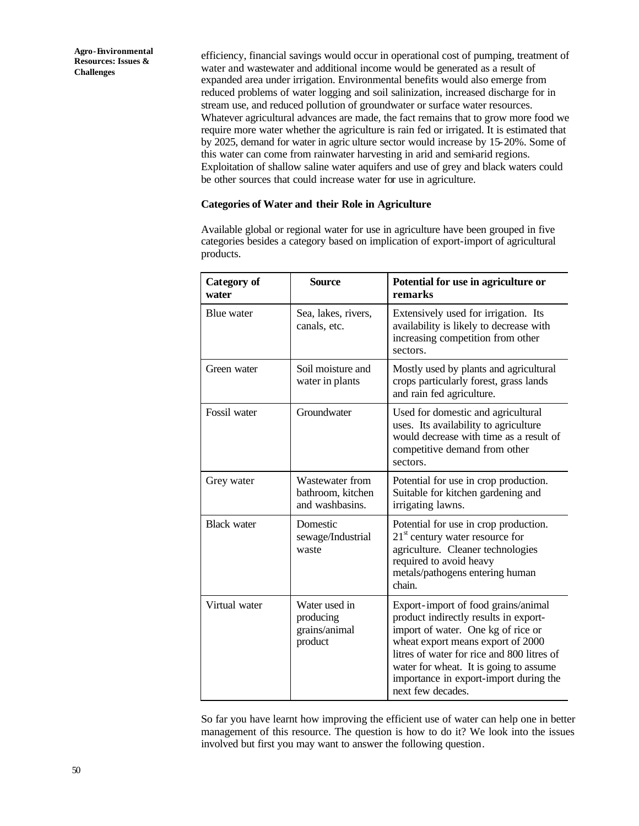efficiency, financial savings would occur in operational cost of pumping, treatment of water and wastewater and additional income would be generated as a result of expanded area under irrigation. Environmental benefits would also emerge from reduced problems of water logging and soil salinization, increased discharge for in stream use, and reduced pollution of groundwater or surface water resources. Whatever agricultural advances are made, the fact remains that to grow more food we require more water whether the agriculture is rain fed or irrigated. It is estimated that by 2025, demand for water in agric ulture sector would increase by 15-20%. Some of this water can come from rainwater harvesting in arid and semi-arid regions. Exploitation of shallow saline water aquifers and use of grey and black waters could be other sources that could increase water for use in agriculture.

### **Categories of Water and their Role in Agriculture**

Available global or regional water for use in agriculture have been grouped in five categories besides a category based on implication of export-import of agricultural products.

| <b>Category of</b><br>water | <b>Source</b>                                           | Potential for use in agriculture or<br>remarks                                                                                                                                                                                                                                                                 |
|-----------------------------|---------------------------------------------------------|----------------------------------------------------------------------------------------------------------------------------------------------------------------------------------------------------------------------------------------------------------------------------------------------------------------|
| <b>Blue</b> water           | Sea, lakes, rivers,<br>canals, etc.                     | Extensively used for irrigation. Its<br>availability is likely to decrease with<br>increasing competition from other<br>sectors.                                                                                                                                                                               |
| Green water                 | Soil moisture and<br>water in plants                    | Mostly used by plants and agricultural<br>crops particularly forest, grass lands<br>and rain fed agriculture.                                                                                                                                                                                                  |
| Fossil water                | Groundwater                                             | Used for domestic and agricultural<br>uses. Its availability to agriculture<br>would decrease with time as a result of<br>competitive demand from other<br>sectors.                                                                                                                                            |
| Grey water                  | Wastewater from<br>bathroom, kitchen<br>and washbasins. | Potential for use in crop production.<br>Suitable for kitchen gardening and<br>irrigating lawns.                                                                                                                                                                                                               |
| <b>Black water</b>          | Domestic<br>sewage/Industrial<br>waste                  | Potential for use in crop production.<br>$21st$ century water resource for<br>agriculture. Cleaner technologies<br>required to avoid heavy<br>metals/pathogens entering human<br>chain.                                                                                                                        |
| Virtual water               | Water used in<br>producing<br>grains/animal<br>product  | Export-import of food grains/animal<br>product indirectly results in export-<br>import of water. One kg of rice or<br>wheat export means export of 2000<br>litres of water for rice and 800 litres of<br>water for wheat. It is going to assume<br>importance in export-import during the<br>next few decades. |

So far you have learnt how improving the efficient use of water can help one in better management of this resource. The question is how to do it? We look into the issues involved but first you may want to answer the following question.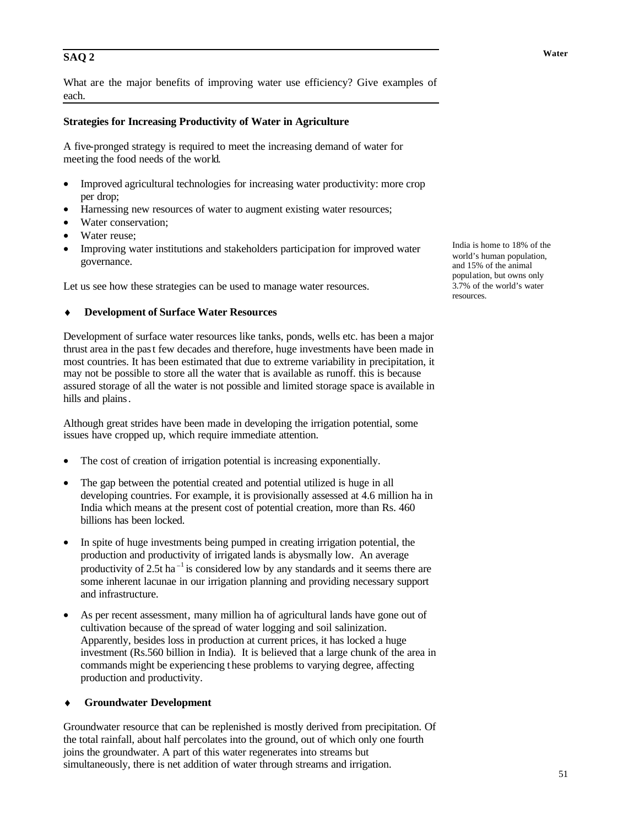# **Water SAQ 2**

What are the major benefits of improving water use efficiency? Give examples of each.

### **Strategies for Increasing Productivity of Water in Agriculture**

A five-pronged strategy is required to meet the increasing demand of water for meeting the food needs of the world.

- Improved agricultural technologies for increasing water productivity: more crop per drop;
- Harnessing new resources of water to augment existing water resources;
- Water conservation;
- Water reuse;
- Improving water institutions and stakeholders participation for improved water governance.

Let us see how these strategies can be used to manage water resources.

#### **Development of Surface Water Resources**

Development of surface water resources like tanks, ponds, wells etc. has been a major thrust area in the past few decades and therefore, huge investments have been made in most countries. It has been estimated that due to extreme variability in precipitation, it may not be possible to store all the water that is available as runoff. this is because assured storage of all the water is not possible and limited storage space is available in hills and plains.

Although great strides have been made in developing the irrigation potential, some issues have cropped up, which require immediate attention.

- The cost of creation of irrigation potential is increasing exponentially.
- The gap between the potential created and potential utilized is huge in all developing countries. For example, it is provisionally assessed at 4.6 million ha in India which means at the present cost of potential creation, more than Rs. 460 billions has been locked.
- In spite of huge investments being pumped in creating irrigation potential, the production and productivity of irrigated lands is abysmally low. An average productivity of 2.5t ha<sup> $-1$ </sup> is considered low by any standards and it seems there are some inherent lacunae in our irrigation planning and providing necessary support and infrastructure.
- As per recent assessment, many million ha of agricultural lands have gone out of cultivation because of the spread of water logging and soil salinization. Apparently, besides loss in production at current prices, it has locked a huge investment (Rs.560 billion in India). It is believed that a large chunk of the area in commands might be experiencing t hese problems to varying degree, affecting production and productivity.

#### **Groundwater Development**

Groundwater resource that can be replenished is mostly derived from precipitation. Of the total rainfall, about half percolates into the ground, out of which only one fourth joins the groundwater. A part of this water regenerates into streams but simultaneously, there is net addition of water through streams and irrigation.

India is home to 18% of the world's human population, and 15% of the animal population, but owns only 3.7% of the world's water resources.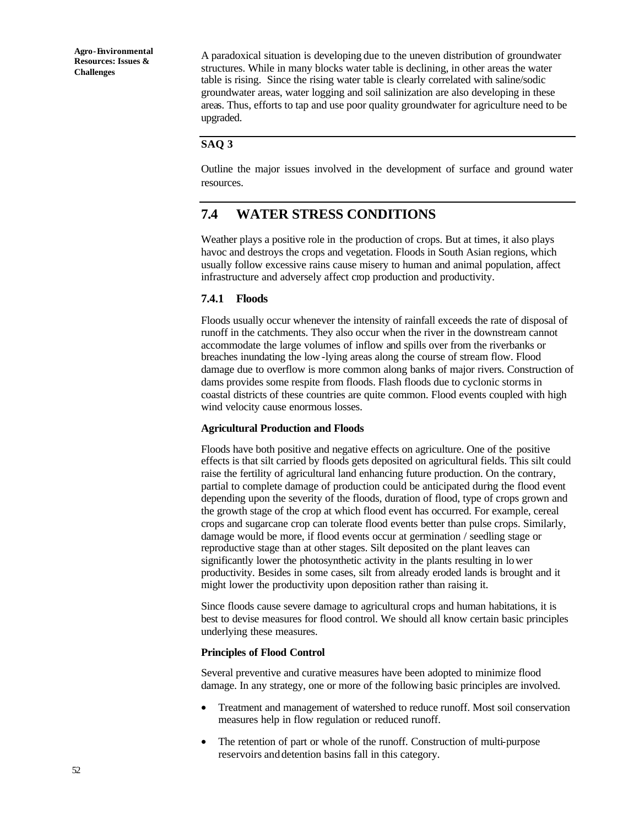A paradoxical situation is developing due to the uneven distribution of groundwater structures. While in many blocks water table is declining, in other areas the water table is rising. Since the rising water table is clearly correlated with saline/sodic groundwater areas, water logging and soil salinization are also developing in these areas. Thus, efforts to tap and use poor quality groundwater for agriculture need to be upgraded.

### **SAQ 3**

Outline the major issues involved in the development of surface and ground water resources.

# **7.4 WATER STRESS CONDITIONS**

Weather plays a positive role in the production of crops. But at times, it also plays havoc and destroys the crops and vegetation. Floods in South Asian regions, which usually follow excessive rains cause misery to human and animal population, affect infrastructure and adversely affect crop production and productivity.

### **7.4.1 Floods**

Floods usually occur whenever the intensity of rainfall exceeds the rate of disposal of runoff in the catchments. They also occur when the river in the downstream cannot accommodate the large volumes of inflow and spills over from the riverbanks or breaches inundating the low-lying areas along the course of stream flow. Flood damage due to overflow is more common along banks of major rivers. Construction of dams provides some respite from floods. Flash floods due to cyclonic storms in coastal districts of these countries are quite common. Flood events coupled with high wind velocity cause enormous losses.

#### **Agricultural Production and Floods**

Floods have both positive and negative effects on agriculture. One of the positive effects is that silt carried by floods gets deposited on agricultural fields. This silt could raise the fertility of agricultural land enhancing future production. On the contrary, partial to complete damage of production could be anticipated during the flood event depending upon the severity of the floods, duration of flood, type of crops grown and the growth stage of the crop at which flood event has occurred. For example, cereal crops and sugarcane crop can tolerate flood events better than pulse crops. Similarly, damage would be more, if flood events occur at germination / seedling stage or reproductive stage than at other stages. Silt deposited on the plant leaves can significantly lower the photosynthetic activity in the plants resulting in lower productivity. Besides in some cases, silt from already eroded lands is brought and it might lower the productivity upon deposition rather than raising it.

Since floods cause severe damage to agricultural crops and human habitations, it is best to devise measures for flood control. We should all know certain basic principles underlying these measures.

#### **Principles of Flood Control**

Several preventive and curative measures have been adopted to minimize flood damage. In any strategy, one or more of the following basic principles are involved.

- Treatment and management of watershed to reduce runoff. Most soil conservation measures help in flow regulation or reduced runoff.
- The retention of part or whole of the runoff. Construction of multi-purpose reservoirs and detention basins fall in this category.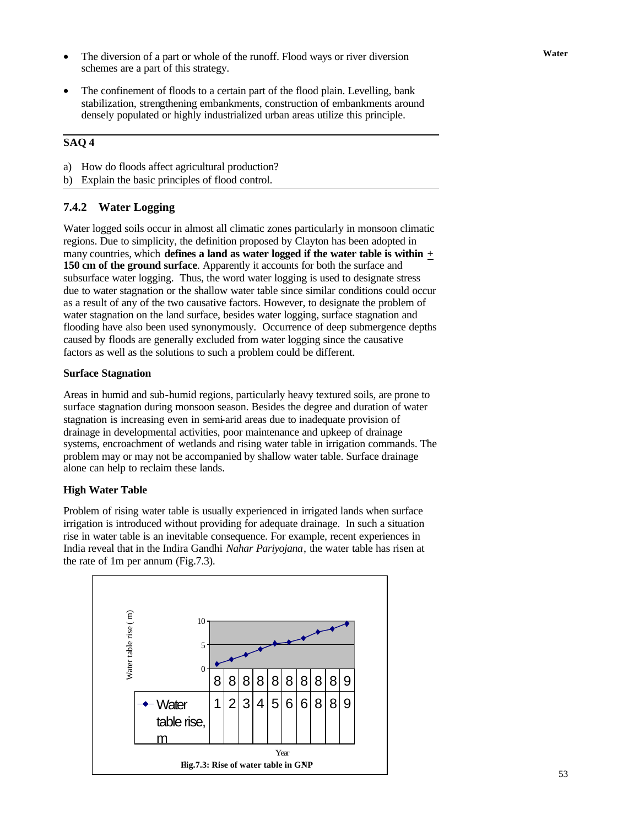- The diversion of a part or whole of the runoff. Flood ways or river diversion **Water** schemes are a part of this strategy.
- The confinement of floods to a certain part of the flood plain. Levelling, bank stabilization, strengthening embankments, construction of embankments around densely populated or highly industrialized urban areas utilize this principle.

### **SAQ 4**

- a) How do floods affect agricultural production?
- b) Explain the basic principles of flood control.

### **7.4.2 Water Logging**

Water logged soils occur in almost all climatic zones particularly in monsoon climatic regions. Due to simplicity, the definition proposed by Clayton has been adopted in many countries, which **defines a land as water logged if the water table is within** + **150 cm of the ground surface**. Apparently it accounts for both the surface and subsurface water logging. Thus, the word water logging is used to designate stress due to water stagnation or the shallow water table since similar conditions could occur as a result of any of the two causative factors. However, to designate the problem of water stagnation on the land surface, besides water logging, surface stagnation and flooding have also been used synonymously. Occurrence of deep submergence depths caused by floods are generally excluded from water logging since the causative factors as well as the solutions to such a problem could be different.

### **Surface Stagnation**

Areas in humid and sub-humid regions, particularly heavy textured soils, are prone to surface stagnation during monsoon season. Besides the degree and duration of water stagnation is increasing even in semi-arid areas due to inadequate provision of drainage in developmental activities, poor maintenance and upkeep of drainage systems, encroachment of wetlands and rising water table in irrigation commands. The problem may or may not be accompanied by shallow water table. Surface drainage alone can help to reclaim these lands.

### **High Water Table**

Problem of rising water table is usually experienced in irrigated lands when surface irrigation is introduced without providing for adequate drainage. In such a situation rise in water table is an inevitable consequence. For example, recent experiences in India reveal that in the Indira Gandhi *Nahar Pariyojana*, the water table has risen at the rate of 1m per annum (Fig.7.3).

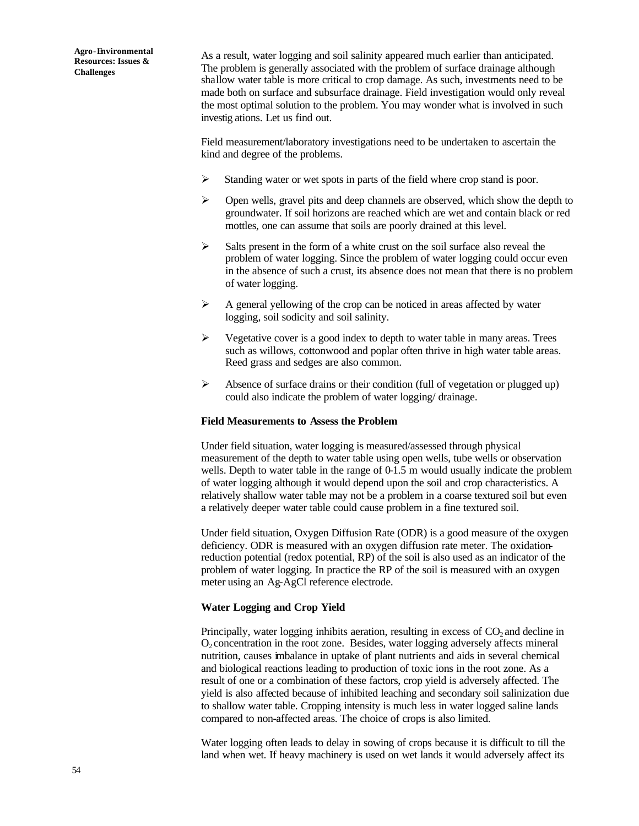As a result, water logging and soil salinity appeared much earlier than anticipated. The problem is generally associated with the problem of surface drainage although shallow water table is more critical to crop damage. As such, investments need to be made both on surface and subsurface drainage. Field investigation would only reveal the most optimal solution to the problem. You may wonder what is involved in such investig ations. Let us find out.

Field measurement/laboratory investigations need to be undertaken to ascertain the kind and degree of the problems.

- Standing water or wet spots in parts of the field where crop stand is poor.
- $\triangleright$  Open wells, gravel pits and deep channels are observed, which show the depth to groundwater. If soil horizons are reached which are wet and contain black or red mottles, one can assume that soils are poorly drained at this level.
- $\triangleright$  Salts present in the form of a white crust on the soil surface also reveal the problem of water logging. Since the problem of water logging could occur even in the absence of such a crust, its absence does not mean that there is no problem of water logging.
- $\triangleright$  A general yellowing of the crop can be noticed in areas affected by water logging, soil sodicity and soil salinity.
- $\triangleright$  Vegetative cover is a good index to depth to water table in many areas. Trees such as willows, cottonwood and poplar often thrive in high water table areas. Reed grass and sedges are also common.
- $\triangleright$  Absence of surface drains or their condition (full of vegetation or plugged up) could also indicate the problem of water logging/ drainage.

#### **Field Measurements to Assess the Problem**

Under field situation, water logging is measured/assessed through physical measurement of the depth to water table using open wells, tube wells or observation wells. Depth to water table in the range of 0-1.5 m would usually indicate the problem of water logging although it would depend upon the soil and crop characteristics. A relatively shallow water table may not be a problem in a coarse textured soil but even a relatively deeper water table could cause problem in a fine textured soil.

Under field situation, Oxygen Diffusion Rate (ODR) is a good measure of the oxygen deficiency. ODR is measured with an oxygen diffusion rate meter. The oxidationreduction potential (redox potential, RP) of the soil is also used as an indicator of the problem of water logging. In practice the RP of the soil is measured with an oxygen meter using an Ag-AgCl reference electrode.

#### **Water Logging and Crop Yield**

Principally, water logging inhibits aeration, resulting in excess of  $CO<sub>2</sub>$  and decline in  $O<sub>2</sub>$  concentration in the root zone. Besides, water logging adversely affects mineral nutrition, causes imbalance in uptake of plant nutrients and aids in several chemical and biological reactions leading to production of toxic ions in the root zone. As a result of one or a combination of these factors, crop yield is adversely affected. The yield is also affected because of inhibited leaching and secondary soil salinization due to shallow water table. Cropping intensity is much less in water logged saline lands compared to non-affected areas. The choice of crops is also limited.

Water logging often leads to delay in sowing of crops because it is difficult to till the land when wet. If heavy machinery is used on wet lands it would adversely affect its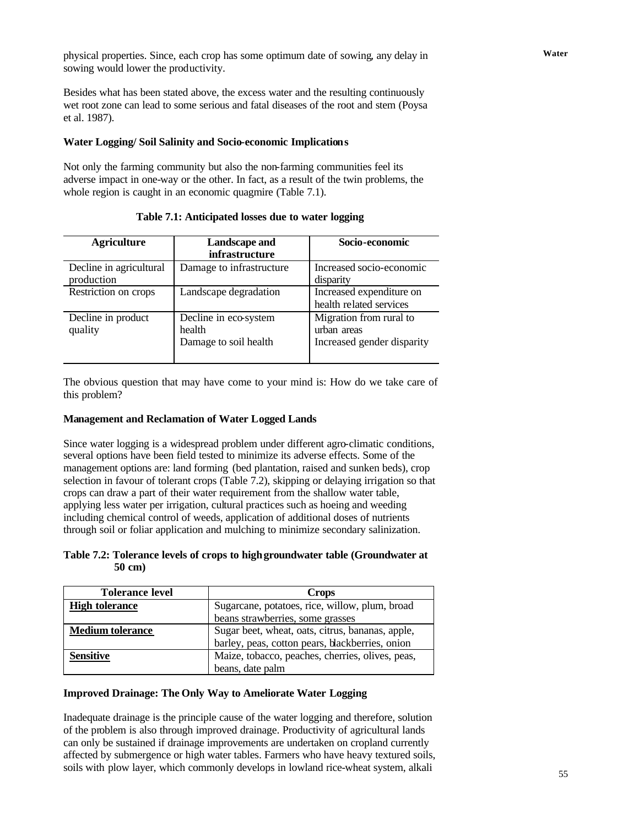**Water** physical properties. Since, each crop has some optimum date of sowing, any delay in sowing would lower the productivity.

Besides what has been stated above, the excess water and the resulting continuously wet root zone can lead to some serious and fatal diseases of the root and stem (Poysa et al. 1987).

### **Water Logging/ Soil Salinity and Socio-economic Implications**

Not only the farming community but also the non-farming communities feel its adverse impact in one-way or the other. In fact, as a result of the twin problems, the whole region is caught in an economic quagmire (Table 7.1).

| <b>Agriculture</b>                    | Landscape and<br><i>infrastructure</i>                   | Socio-economic                                                       |
|---------------------------------------|----------------------------------------------------------|----------------------------------------------------------------------|
| Decline in agricultural<br>production | Damage to infrastructure                                 | Increased socio-economic<br>disparity                                |
| Restriction on crops                  | Landscape degradation                                    | Increased expenditure on<br>health related services                  |
| Decline in product<br>quality         | Decline in eco-system<br>health<br>Damage to soil health | Migration from rural to<br>urban areas<br>Increased gender disparity |

**Table 7.1: Anticipated losses due to water logging**

The obvious question that may have come to your mind is: How do we take care of this problem?

### **Management and Reclamation of Water Logged Lands**

Since water logging is a widespread problem under different agro-climatic conditions, several options have been field tested to minimize its adverse effects. Some of the management options are: land forming (bed plantation, raised and sunken beds), crop selection in favour of tolerant crops (Table 7.2), skipping or delaying irrigation so that crops can draw a part of their water requirement from the shallow water table, applying less water per irrigation, cultural practices such as hoeing and weeding including chemical control of weeds, application of additional doses of nutrients through soil or foliar application and mulching to minimize secondary salinization.

### **Table 7.2: Tolerance levels of crops to high groundwater table (Groundwater at 50 cm)**

| <b>Tolerance level</b>  | <b>Crops</b>                                     |  |
|-------------------------|--------------------------------------------------|--|
| <b>High tolerance</b>   | Sugarcane, potatoes, rice, willow, plum, broad   |  |
|                         | beans strawberries, some grasses                 |  |
| <b>Medium tolerance</b> | Sugar beet, wheat, oats, citrus, bananas, apple, |  |
|                         | barley, peas, cotton pears, blackberries, onion  |  |
| <b>Sensitive</b>        | Maize, tobacco, peaches, cherries, olives, peas, |  |
|                         | beans, date palm                                 |  |

### **Improved Drainage: The Only Way to Ameliorate Water Logging**

Inadequate drainage is the principle cause of the water logging and therefore, solution of the problem is also through improved drainage. Productivity of agricultural lands can only be sustained if drainage improvements are undertaken on cropland currently affected by submergence or high water tables. Farmers who have heavy textured soils, soils with plow layer, which commonly develops in lowland rice-wheat system, alkali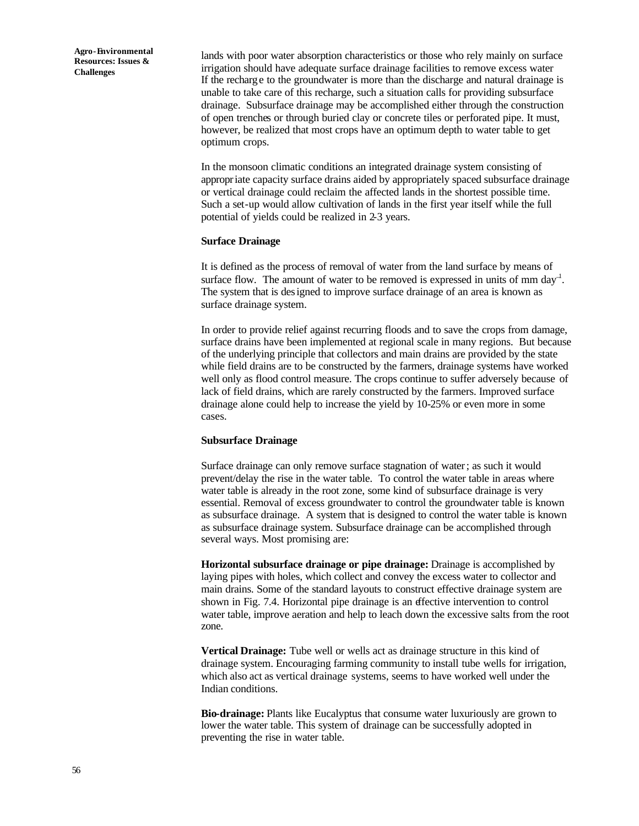lands with poor water absorption characteristics or those who rely mainly on surface irrigation should have adequate surface drainage facilities to remove excess water If the recharge to the groundwater is more than the discharge and natural drainage is unable to take care of this recharge, such a situation calls for providing subsurface drainage. Subsurface drainage may be accomplished either through the construction of open trenches or through buried clay or concrete tiles or perforated pipe. It must, however, be realized that most crops have an optimum depth to water table to get optimum crops.

In the monsoon climatic conditions an integrated drainage system consisting of appropriate capacity surface drains aided by appropriately spaced subsurface drainage or vertical drainage could reclaim the affected lands in the shortest possible time. Such a set-up would allow cultivation of lands in the first year itself while the full potential of yields could be realized in 2-3 years.

#### **Surface Drainage**

It is defined as the process of removal of water from the land surface by means of surface flow. The amount of water to be removed is expressed in units of mm day<sup>-1</sup>. The system that is designed to improve surface drainage of an area is known as surface drainage system.

In order to provide relief against recurring floods and to save the crops from damage, surface drains have been implemented at regional scale in many regions. But because of the underlying principle that collectors and main drains are provided by the state while field drains are to be constructed by the farmers, drainage systems have worked well only as flood control measure. The crops continue to suffer adversely because of lack of field drains, which are rarely constructed by the farmers. Improved surface drainage alone could help to increase the yield by 10-25% or even more in some cases.

#### **Subsurface Drainage**

Surface drainage can only remove surface stagnation of water; as such it would prevent/delay the rise in the water table. To control the water table in areas where water table is already in the root zone, some kind of subsurface drainage is very essential. Removal of excess groundwater to control the groundwater table is known as subsurface drainage. A system that is designed to control the water table is known as subsurface drainage system. Subsurface drainage can be accomplished through several ways. Most promising are:

**Horizontal subsurface drainage or pipe drainage:** Drainage is accomplished by laying pipes with holes, which collect and convey the excess water to collector and main drains. Some of the standard layouts to construct effective drainage system are shown in Fig. 7.4. Horizontal pipe drainage is an effective intervention to control water table, improve aeration and help to leach down the excessive salts from the root zone.

**Vertical Drainage:** Tube well or wells act as drainage structure in this kind of drainage system. Encouraging farming community to install tube wells for irrigation, which also act as vertical drainage systems, seems to have worked well under the Indian conditions.

**Bio-drainage:** Plants like Eucalyptus that consume water luxuriously are grown to lower the water table. This system of drainage can be successfully adopted in preventing the rise in water table.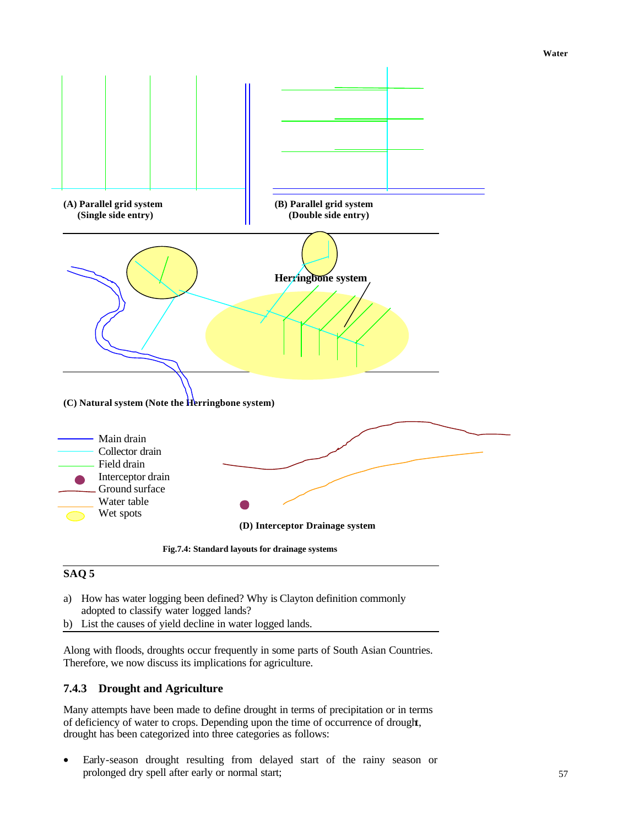

# **SAQ 5**

- a) How has water logging been defined? Why is Clayton definition commonly adopted to classify water logged lands?
- b) List the causes of yield decline in water logged lands.

Along with floods, droughts occur frequently in some parts of South Asian Countries. Therefore, we now discuss its implications for agriculture.

## **7.4.3 Drought and Agriculture**

Many attempts have been made to define drought in terms of precipitation or in terms of deficiency of water to crops. Depending upon the time of occurrence of drought, drought has been categorized into three categories as follows:

• Early-season drought resulting from delayed start of the rainy season or prolonged dry spell after early or normal start;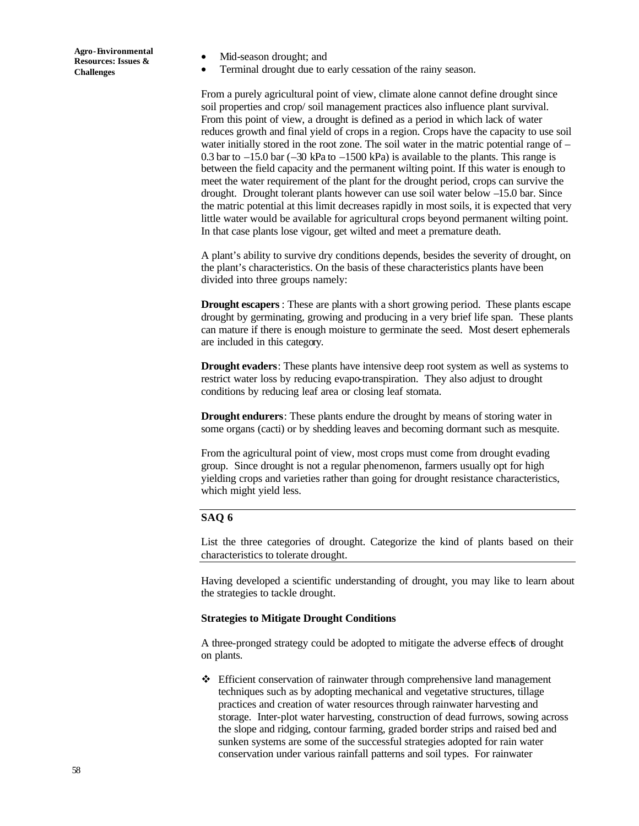- Mid-season drought; and
- Terminal drought due to early cessation of the rainy season.

From a purely agricultural point of view, climate alone cannot define drought since soil properties and crop/ soil management practices also influence plant survival. From this point of view, a drought is defined as a period in which lack of water reduces growth and final yield of crops in a region. Crops have the capacity to use soil water initially stored in the root zone. The soil water in the matric potential range of – 0.3 bar to  $-15.0$  bar  $(-30 \text{ kPa})$  to  $-1500 \text{ kPa}$  is available to the plants. This range is between the field capacity and the permanent wilting point. If this water is enough to meet the water requirement of the plant for the drought period, crops can survive the drought. Drought tolerant plants however can use soil water below –15.0 bar. Since the matric potential at this limit decreases rapidly in most soils, it is expected that very little water would be available for agricultural crops beyond permanent wilting point. In that case plants lose vigour, get wilted and meet a premature death.

A plant's ability to survive dry conditions depends, besides the severity of drought, on the plant's characteristics. On the basis of these characteristics plants have been divided into three groups namely:

**Drought escapers**: These are plants with a short growing period. These plants escape drought by germinating, growing and producing in a very brief life span. These plants can mature if there is enough moisture to germinate the seed. Most desert ephemerals are included in this category.

**Drought evaders**: These plants have intensive deep root system as well as systems to restrict water loss by reducing evapo-transpiration. They also adjust to drought conditions by reducing leaf area or closing leaf stomata.

**Drought endurers**: These plants endure the drought by means of storing water in some organs (cacti) or by shedding leaves and becoming dormant such as mesquite.

From the agricultural point of view, most crops must come from drought evading group. Since drought is not a regular phenomenon, farmers usually opt for high yielding crops and varieties rather than going for drought resistance characteristics, which might yield less.

### **SAQ 6**

List the three categories of drought. Categorize the kind of plants based on their characteristics to tolerate drought.

Having developed a scientific understanding of drought, you may like to learn about the strategies to tackle drought.

#### **Strategies to Mitigate Drought Conditions**

A three-pronged strategy could be adopted to mitigate the adverse effects of drought on plants.

 $\div$  Efficient conservation of rainwater through comprehensive land management techniques such as by adopting mechanical and vegetative structures, tillage practices and creation of water resources through rainwater harvesting and storage. Inter-plot water harvesting, construction of dead furrows, sowing across the slope and ridging, contour farming, graded border strips and raised bed and sunken systems are some of the successful strategies adopted for rain water conservation under various rainfall patterns and soil types. For rainwater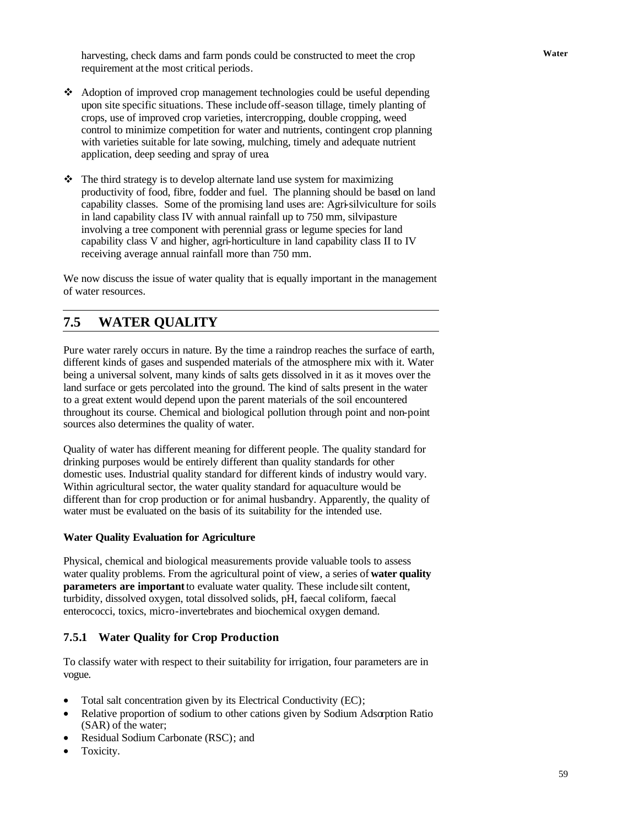**Water** harvesting, check dams and farm ponds could be constructed to meet the crop requirement at the most critical periods.

- v Adoption of improved crop management technologies could be useful depending upon site specific situations. These include off-season tillage, timely planting of crops, use of improved crop varieties, intercropping, double cropping, weed control to minimize competition for water and nutrients, contingent crop planning with varieties suitable for late sowing, mulching, timely and adequate nutrient application, deep seeding and spray of urea.
- $\cdot \cdot$  The third strategy is to develop alternate land use system for maximizing productivity of food, fibre, fodder and fuel. The planning should be based on land capability classes. Some of the promising land uses are: Agri-silviculture for soils in land capability class IV with annual rainfall up to 750 mm, silvipasture involving a tree component with perennial grass or legume species for land capability class V and higher, agri-horticulture in land capability class II to IV receiving average annual rainfall more than 750 mm.

We now discuss the issue of water quality that is equally important in the management of water resources.

# **7.5 WATER QUALITY**

Pure water rarely occurs in nature. By the time a raindrop reaches the surface of earth, different kinds of gases and suspended materials of the atmosphere mix with it. Water being a universal solvent, many kinds of salts gets dissolved in it as it moves over the land surface or gets percolated into the ground. The kind of salts present in the water to a great extent would depend upon the parent materials of the soil encountered throughout its course. Chemical and biological pollution through point and non-point sources also determines the quality of water.

Quality of water has different meaning for different people. The quality standard for drinking purposes would be entirely different than quality standards for other domestic uses. Industrial quality standard for different kinds of industry would vary. Within agricultural sector, the water quality standard for aquaculture would be different than for crop production or for animal husbandry. Apparently, the quality of water must be evaluated on the basis of its suitability for the intended use.

### **Water Quality Evaluation for Agriculture**

Physical, chemical and biological measurements provide valuable tools to assess water quality problems. From the agricultural point of view, a series of **water quality parameters are important** to evaluate water quality. These include silt content, turbidity, dissolved oxygen, total dissolved solids, pH, faecal coliform, faecal enterococci, toxics, micro-invertebrates and biochemical oxygen demand.

### **7.5.1 Water Quality for Crop Production**

To classify water with respect to their suitability for irrigation, four parameters are in vogue.

- Total salt concentration given by its Electrical Conductivity (EC);
- Relative proportion of sodium to other cations given by Sodium Adsorption Ratio (SAR) of the water;
- Residual Sodium Carbonate (RSC); and
- Toxicity.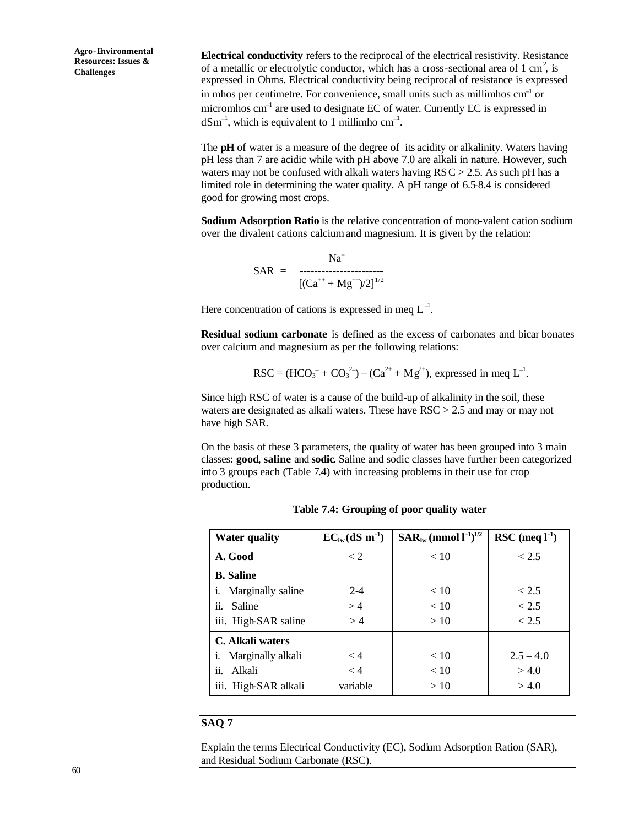**Electrical conductivity** refers to the reciprocal of the electrical resistivity. Resistance of a metallic or electrolytic conductor, which has a cross-sectional area of 1 cm<sup>2</sup>, is expressed in Ohms. Electrical conductivity being reciprocal of resistance is expressed in mhos per centimetre. For convenience, small units such as millimhos cm<sup>-1</sup> or micromhos cm<sup>-1</sup> are used to designate EC of water. Currently EC is expressed in  $dSm^{-1}$ , which is equivalent to 1 millimho cm<sup>-1</sup>.

The **pH** of water is a measure of the degree of its acidity or alkalinity. Waters having pH less than 7 are acidic while with pH above 7.0 are alkali in nature. However, such waters may not be confused with alkali waters having  $RSC > 2.5$ . As such pH has a limited role in determining the water quality. A pH range of 6.5-8.4 is considered good for growing most crops.

**Sodium Adsorption Ratio** is the relative concentration of mono-valent cation sodium over the divalent cations calcium and magnesium. It is given by the relation:

$$
SAR = \frac{Na^{+}}{[(Ca^{++} + Mg^{++})/2]^{1/2}}
$$

Here concentration of cations is expressed in meq  $L^{-1}$ .

**Residual sodium carbonate** is defined as the excess of carbonates and bicar bonates over calcium and magnesium as per the following relations:

$$
RSC = (HCO3- + CO32-) – (Ca2+ + Mg2+), expressed in meq L-1.
$$

Since high RSC of water is a cause of the build-up of alkalinity in the soil, these waters are designated as alkali waters. These have RSC > 2.5 and may or may not have high SAR.

On the basis of these 3 parameters, the quality of water has been grouped into 3 main classes: **good**, **saline** and **sodic**. Saline and sodic classes have further been categorized into 3 groups each (Table 7.4) with increasing problems in their use for crop production.

| <b>Water quality</b>        | $EC_{iw}(dS \; m^{-1})$ | $SAR_{iw}$ (mmol $l^{-1}$ ) <sup>1/2</sup> | RSC (meq $l^{-1}$ ) |
|-----------------------------|-------------------------|--------------------------------------------|---------------------|
| A. Good                     | $\lt 2$                 | < 10                                       | < 2.5               |
| <b>B.</b> Saline            |                         |                                            |                     |
| <i>i.</i> Marginally saline | $2 - 4$                 | < 10                                       | < 2.5               |
| ii.<br>Saline               | >4                      | < 10                                       | < 2.5               |
| iii. High-SAR saline        | >4                      | >10                                        | < 2.5               |
| C. Alkali waters            |                         |                                            |                     |
| <i>i.</i> Marginally alkali | < 4                     | < 10                                       | $2.5 - 4.0$         |
| ii.<br>Alkali               | < 4                     | < 10                                       | > 4.0               |
| iii. High-SAR alkali        | variable                | >10                                        | > 4.0               |

**Table 7.4: Grouping of poor quality water**

### **SAQ 7**

Explain the terms Electrical Conductivity (EC), Sodium Adsorption Ration (SAR), and Residual Sodium Carbonate (RSC).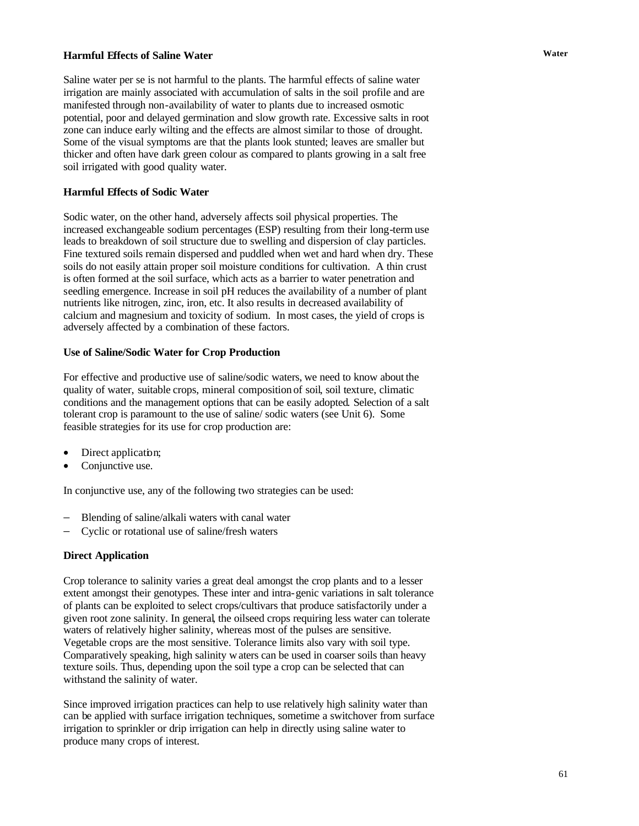## **Harmful Effects of Saline Water** *Water*

Saline water per se is not harmful to the plants. The harmful effects of saline water irrigation are mainly associated with accumulation of salts in the soil profile and are manifested through non-availability of water to plants due to increased osmotic potential, poor and delayed germination and slow growth rate. Excessive salts in root zone can induce early wilting and the effects are almost similar to those of drought. Some of the visual symptoms are that the plants look stunted; leaves are smaller but thicker and often have dark green colour as compared to plants growing in a salt free soil irrigated with good quality water.

### **Harmful Effects of Sodic Water**

Sodic water, on the other hand, adversely affects soil physical properties. The increased exchangeable sodium percentages (ESP) resulting from their long-term use leads to breakdown of soil structure due to swelling and dispersion of clay particles. Fine textured soils remain dispersed and puddled when wet and hard when dry. These soils do not easily attain proper soil moisture conditions for cultivation. A thin crust is often formed at the soil surface, which acts as a barrier to water penetration and seedling emergence. Increase in soil pH reduces the availability of a number of plant nutrients like nitrogen, zinc, iron, etc. It also results in decreased availability of calcium and magnesium and toxicity of sodium. In most cases, the yield of crops is adversely affected by a combination of these factors.

### **Use of Saline/Sodic Water for Crop Production**

For effective and productive use of saline/sodic waters, we need to know about the quality of water, suitable crops, mineral composition of soil, soil texture, climatic conditions and the management options that can be easily adopted. Selection of a salt tolerant crop is paramount to the use of saline/ sodic waters (see Unit 6). Some feasible strategies for its use for crop production are:

- Direct application;
- Conjunctive use.

In conjunctive use, any of the following two strategies can be used:

- Blending of saline/alkali waters with canal water
- − Cyclic or rotational use of saline/fresh waters

### **Direct Application**

Crop tolerance to salinity varies a great deal amongst the crop plants and to a lesser extent amongst their genotypes. These inter and intra-genic variations in salt tolerance of plants can be exploited to select crops/cultivars that produce satisfactorily under a given root zone salinity. In general, the oilseed crops requiring less water can tolerate waters of relatively higher salinity, whereas most of the pulses are sensitive. Vegetable crops are the most sensitive. Tolerance limits also vary with soil type. Comparatively speaking, high salinity waters can be used in coarser soils than heavy texture soils. Thus, depending upon the soil type a crop can be selected that can withstand the salinity of water.

Since improved irrigation practices can help to use relatively high salinity water than can be applied with surface irrigation techniques, sometime a switchover from surface irrigation to sprinkler or drip irrigation can help in directly using saline water to produce many crops of interest.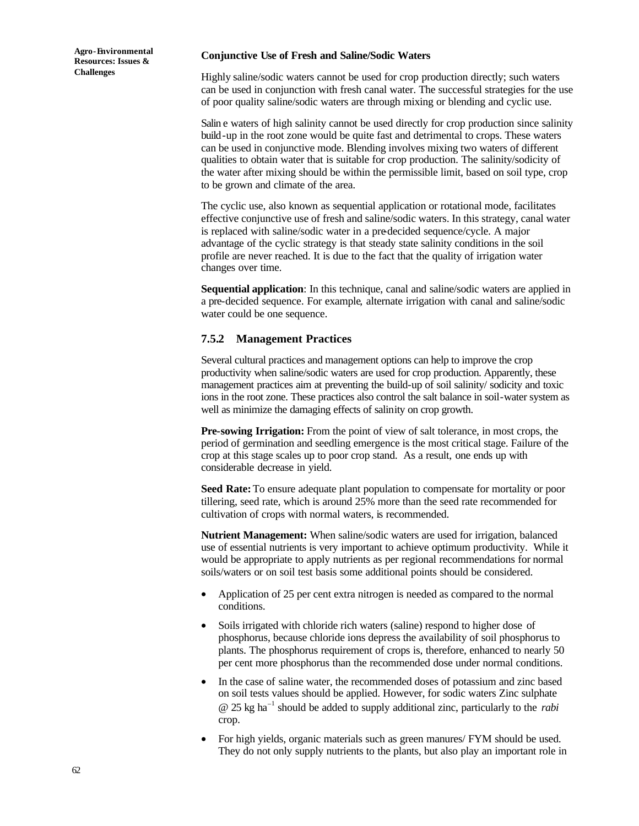#### **Conjunctive Use of Fresh and Saline/Sodic Waters**

Highly saline/sodic waters cannot be used for crop production directly; such waters can be used in conjunction with fresh canal water. The successful strategies for the use of poor quality saline/sodic waters are through mixing or blending and cyclic use.

Salin e waters of high salinity cannot be used directly for crop production since salinity build-up in the root zone would be quite fast and detrimental to crops. These waters can be used in conjunctive mode. Blending involves mixing two waters of different qualities to obtain water that is suitable for crop production. The salinity/sodicity of the water after mixing should be within the permissible limit, based on soil type, crop to be grown and climate of the area.

The cyclic use, also known as sequential application or rotational mode, facilitates effective conjunctive use of fresh and saline/sodic waters. In this strategy, canal water is replaced with saline/sodic water in a pre-decided sequence/cycle. A major advantage of the cyclic strategy is that steady state salinity conditions in the soil profile are never reached. It is due to the fact that the quality of irrigation water changes over time.

**Sequential application**: In this technique, canal and saline/sodic waters are applied in a pre-decided sequence. For example, alternate irrigation with canal and saline/sodic water could be one sequence.

### **7.5.2 Management Practices**

Several cultural practices and management options can help to improve the crop productivity when saline/sodic waters are used for crop production. Apparently, these management practices aim at preventing the build-up of soil salinity/ sodicity and toxic ions in the root zone. These practices also control the salt balance in soil-water system as well as minimize the damaging effects of salinity on crop growth.

**Pre-sowing Irrigation:** From the point of view of salt tolerance, in most crops, the period of germination and seedling emergence is the most critical stage. Failure of the crop at this stage scales up to poor crop stand. As a result, one ends up with considerable decrease in yield.

**Seed Rate:** To ensure adequate plant population to compensate for mortality or poor tillering, seed rate, which is around 25% more than the seed rate recommended for cultivation of crops with normal waters, is recommended.

**Nutrient Management:** When saline/sodic waters are used for irrigation, balanced use of essential nutrients is very important to achieve optimum productivity. While it would be appropriate to apply nutrients as per regional recommendations for normal soils/waters or on soil test basis some additional points should be considered.

- Application of 25 per cent extra nitrogen is needed as compared to the normal conditions.
- Soils irrigated with chloride rich waters (saline) respond to higher dose of phosphorus, because chloride ions depress the availability of soil phosphorus to plants. The phosphorus requirement of crops is, therefore, enhanced to nearly 50 per cent more phosphorus than the recommended dose under normal conditions.
- In the case of saline water, the recommended doses of potassium and zinc based on soil tests values should be applied. However, for sodic waters Zinc sulphate @ 25 kg ha<sup>−</sup><sup>1</sup> should be added to supply additional zinc, particularly to the *rabi* crop.
- For high yields, organic materials such as green manures/ FYM should be used. They do not only supply nutrients to the plants, but also play an important role in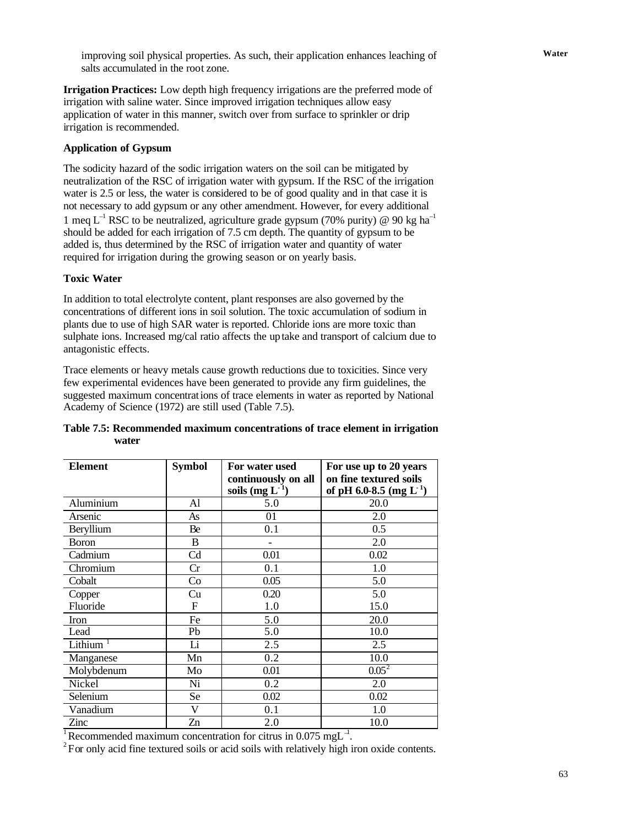**Water** improving soil physical properties. As such, their application enhances leaching of salts accumulated in the root zone.

**Irrigation Practices:** Low depth high frequency irrigations are the preferred mode of irrigation with saline water. Since improved irrigation techniques allow easy application of water in this manner, switch over from surface to sprinkler or drip irrigation is recommended.

### **Application of Gypsum**

The sodicity hazard of the sodic irrigation waters on the soil can be mitigated by neutralization of the RSC of irrigation water with gypsum. If the RSC of the irrigation water is 2.5 or less, the water is considered to be of good quality and in that case it is not necessary to add gypsum or any other amendment. However, for every additional 1 meq L<sup>-1</sup> RSC to be neutralized, agriculture grade gypsum (70% purity) @ 90 kg ha<sup>-1</sup> should be added for each irrigation of 7.5 cm depth. The quantity of gypsum to be added is, thus determined by the RSC of irrigation water and quantity of water required for irrigation during the growing season or on yearly basis.

### **Toxic Water**

In addition to total electrolyte content, plant responses are also governed by the concentrations of different ions in soil solution. The toxic accumulation of sodium in plants due to use of high SAR water is reported. Chloride ions are more toxic than sulphate ions. Increased mg/cal ratio affects the uptake and transport of calcium due to antagonistic effects.

Trace elements or heavy metals cause growth reductions due to toxicities. Since very few experimental evidences have been generated to provide any firm guidelines, the suggested maximum concentrations of trace elements in water as reported by National Academy of Science (1972) are still used (Table 7.5).

| <b>Element</b> | <b>Symbol</b> | For water used<br>continuously on all<br>soils (mg L | For use up to 20 years<br>on fine textured soils<br>of pH 6.0-8.5 (mg $L^{1}$ ) |
|----------------|---------------|------------------------------------------------------|---------------------------------------------------------------------------------|
| Aluminium      | ΑI            | 5.0                                                  | 20.0                                                                            |
| Arsenic        | As            |                                                      | 2.0                                                                             |
| Beryllium      | Be            |                                                      | 0.5                                                                             |
| <b>Boron</b>   | В             |                                                      | 2.0                                                                             |
|                |               |                                                      |                                                                                 |

### **Table 7.5: Recommended maximum concentrations of trace element in irrigation water**

Nickel Ni Ni 0.2 2.0 Selenium Se 0.02 0.02 Vanadium V V 0.1 1.0  $\frac{z}{\ln 2}$   $\frac{z}{\ln 2}$   $\frac{z}{\ln 2}$   $\frac{10.0}{z}$ 

Chromium Cr 0.1 1.0 Cobalt  $\begin{array}{|c|c|c|c|c|c|c|c|} \hline \text{Cobalt} & \text{Cob} & 0.05 & \text{ } & 5.0 \ \hline \end{array}$ Copper cu cu 0.20 5.0 Fluoride F F 1.0 15.0 Iron Fe 5.0 20.0 Lead Pb 5.0 10.0  $\text{Lithium}$ <sup>1</sup> Li  $\text{Li}$  2.5 2.5 2.5 Manganese Mn 0.2 10.0 Molybdenum Mo  $0.01$   $0.05^2$ 

<sup>1</sup>Recommended maximum concentration for citrus in 0.075 mgL<sup> $-1$ </sup>.

 $2^2$  For only acid fine textured soils or acid soils with relatively high iron oxide contents.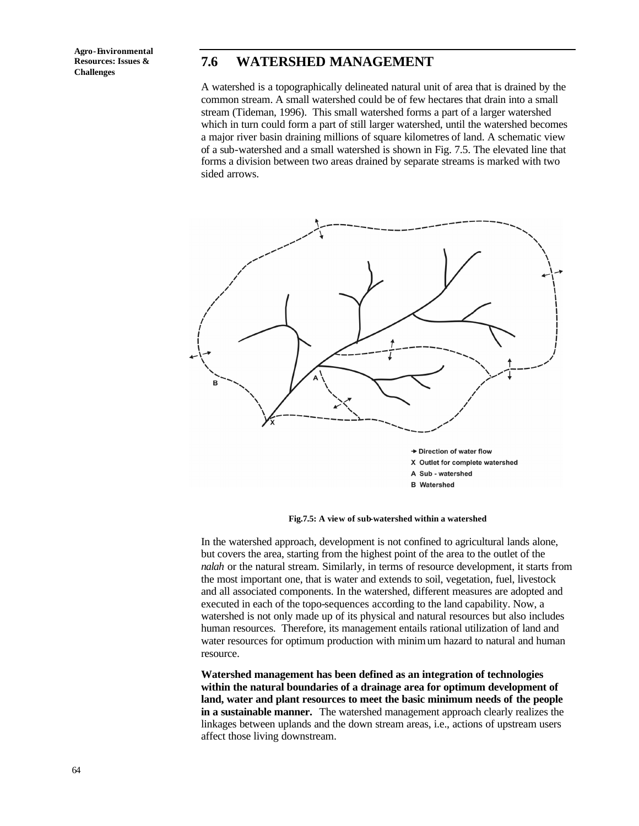# **7.6 WATERSHED MANAGEMENT**

A watershed is a topographically delineated natural unit of area that is drained by the common stream. A small watershed could be of few hectares that drain into a small stream (Tideman, 1996). This small watershed forms a part of a larger watershed which in turn could form a part of still larger watershed, until the watershed becomes a major river basin draining millions of square kilometres of land. A schematic view of a sub-watershed and a small watershed is shown in Fig. 7.5. The elevated line that forms a division between two areas drained by separate streams is marked with two sided arrows.

![](_page_18_Figure_3.jpeg)

**Fig.7.5: A view of sub-watershed within a watershed**

In the watershed approach, development is not confined to agricultural lands alone, but covers the area, starting from the highest point of the area to the outlet of the *nalah* or the natural stream. Similarly, in terms of resource development, it starts from the most important one, that is water and extends to soil, vegetation, fuel, livestock and all associated components. In the watershed, different measures are adopted and executed in each of the topo-sequences according to the land capability. Now, a watershed is not only made up of its physical and natural resources but also includes human resources. Therefore, its management entails rational utilization of land and water resources for optimum production with minimum hazard to natural and human resource.

**Watershed management has been defined as an integration of technologies within the natural boundaries of a drainage area for optimum development of land, water and plant resources to meet the basic minimum needs of the people in a sustainable manner.** The watershed management approach clearly realizes the linkages between uplands and the down stream areas, i.e., actions of upstream users affect those living downstream.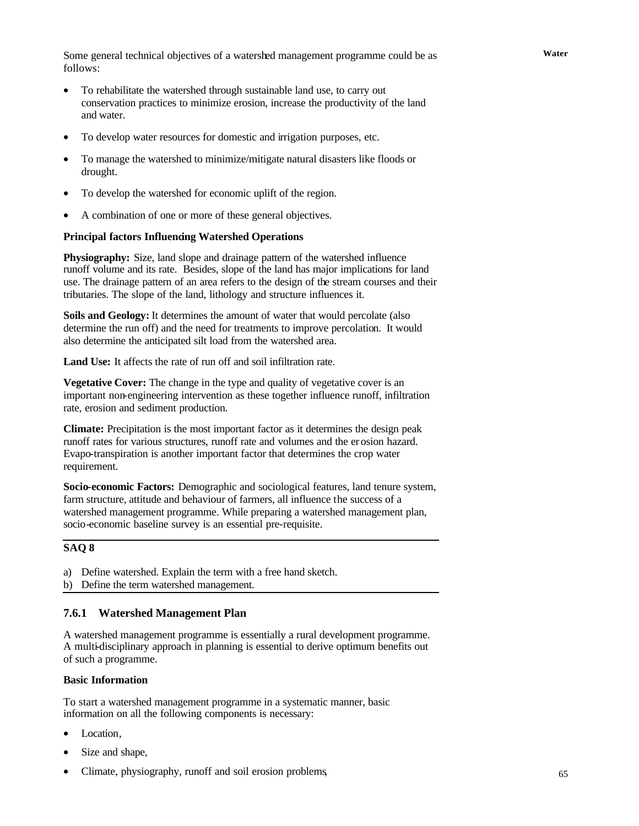Some general technical objectives of a watershed management programme could be as **Water** follows:

- To rehabilitate the watershed through sustainable land use, to carry out conservation practices to minimize erosion, increase the productivity of the land and water.
- To develop water resources for domestic and irrigation purposes, etc.
- To manage the watershed to minimize/mitigate natural disasters like floods or drought.
- To develop the watershed for economic uplift of the region.
- A combination of one or more of these general objectives.

#### **Principal factors Influencing Watershed Operations**

**Physiography:** Size, land slope and drainage pattern of the watershed influence runoff volume and its rate. Besides, slope of the land has major implications for land use. The drainage pattern of an area refers to the design of the stream courses and their tributaries. The slope of the land, lithology and structure influences it.

**Soils and Geology:** It determines the amount of water that would percolate (also determine the run off) and the need for treatments to improve percolation. It would also determine the anticipated silt load from the watershed area.

Land Use: It affects the rate of run off and soil infiltration rate.

**Vegetative Cover:** The change in the type and quality of vegetative cover is an important non-engineering intervention as these together influence runoff, infiltration rate, erosion and sediment production.

**Climate:** Precipitation is the most important factor as it determines the design peak runoff rates for various structures, runoff rate and volumes and the erosion hazard. Evapo-transpiration is another important factor that determines the crop water requirement.

**Socio-economic Factors:** Demographic and sociological features, land tenure system, farm structure, attitude and behaviour of farmers, all influence the success of a watershed management programme. While preparing a watershed management plan, socio-economic baseline survey is an essential pre-requisite.

### **SAQ 8**

a) Define watershed. Explain the term with a free hand sketch. b) Define the term watershed management.

### **7.6.1 Watershed Management Plan**

A watershed management programme is essentially a rural development programme. A multi-disciplinary approach in planning is essential to derive optimum benefits out of such a programme.

#### **Basic Information**

To start a watershed management programme in a systematic manner, basic information on all the following components is necessary:

- Location.
- Size and shape,
- Climate, physiography, runoff and soil erosion problems,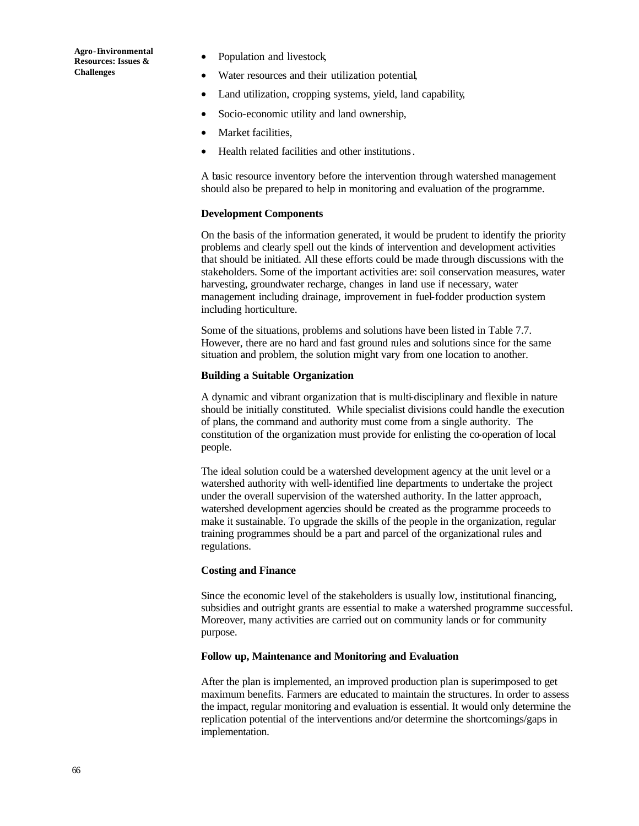- Population and livestock,
- Water resources and their utilization potential,
- Land utilization, cropping systems, yield, land capability,
- Socio-economic utility and land ownership,
- Market facilities.
- Health related facilities and other institutions.

A basic resource inventory before the intervention through watershed management should also be prepared to help in monitoring and evaluation of the programme.

#### **Development Components**

On the basis of the information generated, it would be prudent to identify the priority problems and clearly spell out the kinds of intervention and development activities that should be initiated. All these efforts could be made through discussions with the stakeholders. Some of the important activities are: soil conservation measures, water harvesting, groundwater recharge, changes in land use if necessary, water management including drainage, improvement in fuel-fodder production system including horticulture.

Some of the situations, problems and solutions have been listed in Table 7.7. However, there are no hard and fast ground rules and solutions since for the same situation and problem, the solution might vary from one location to another.

#### **Building a Suitable Organization**

A dynamic and vibrant organization that is multi-disciplinary and flexible in nature should be initially constituted. While specialist divisions could handle the execution of plans, the command and authority must come from a single authority. The constitution of the organization must provide for enlisting the co-operation of local people.

The ideal solution could be a watershed development agency at the unit level or a watershed authority with well-identified line departments to undertake the project under the overall supervision of the watershed authority. In the latter approach, watershed development agencies should be created as the programme proceeds to make it sustainable. To upgrade the skills of the people in the organization, regular training programmes should be a part and parcel of the organizational rules and regulations.

### **Costing and Finance**

Since the economic level of the stakeholders is usually low, institutional financing, subsidies and outright grants are essential to make a watershed programme successful. Moreover, many activities are carried out on community lands or for community purpose.

#### **Follow up, Maintenance and Monitoring and Evaluation**

After the plan is implemented, an improved production plan is superimposed to get maximum benefits. Farmers are educated to maintain the structures. In order to assess the impact, regular monitoring and evaluation is essential. It would only determine the replication potential of the interventions and/or determine the shortcomings/gaps in implementation.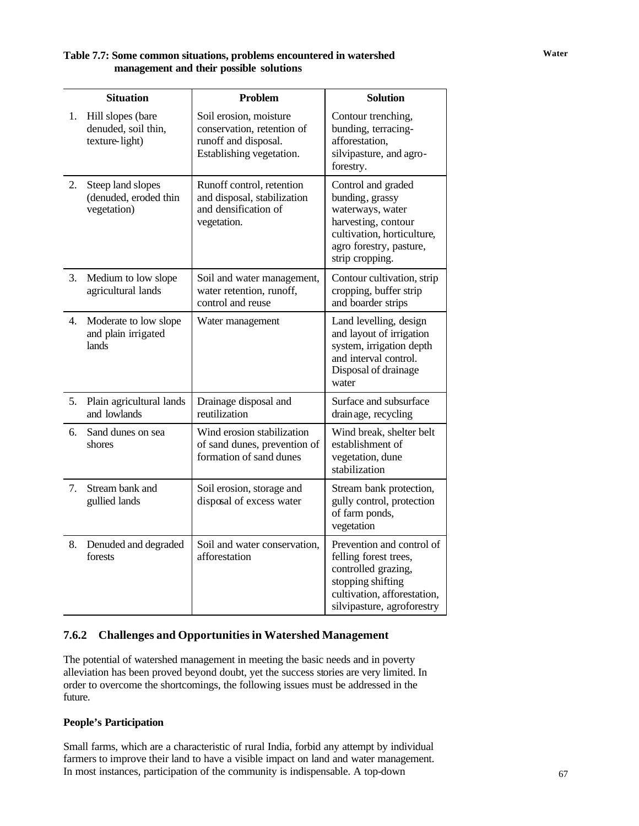## Table 7.7: Some common situations, problems encountered in watershed **Water management and their possible solutions**

|    | <b>Situation</b>                                           | <b>Problem</b>                                                                                           | <b>Solution</b>                                                                                                                                              |
|----|------------------------------------------------------------|----------------------------------------------------------------------------------------------------------|--------------------------------------------------------------------------------------------------------------------------------------------------------------|
| 1. | Hill slopes (bare<br>denuded, soil thin,<br>texture-light) | Soil erosion, moisture<br>conservation, retention of<br>runoff and disposal.<br>Establishing vegetation. | Contour trenching,<br>bunding, terracing-<br>afforestation,<br>silvipasture, and agro-<br>forestry.                                                          |
| 2. | Steep land slopes<br>(denuded, eroded thin<br>vegetation)  | Runoff control, retention<br>and disposal, stabilization<br>and densification of<br>vegetation.          | Control and graded<br>bunding, grassy<br>waterways, water<br>harvesting, contour<br>cultivation, horticulture,<br>agro forestry, pasture,<br>strip cropping. |
| 3. | Medium to low slope<br>agricultural lands                  | Soil and water management,<br>water retention, runoff,<br>control and reuse                              | Contour cultivation, strip<br>cropping, buffer strip<br>and boarder strips                                                                                   |
| 4. | Moderate to low slope<br>and plain irrigated<br>lands      | Water management                                                                                         | Land levelling, design<br>and layout of irrigation<br>system, irrigation depth<br>and interval control.<br>Disposal of drainage<br>water                     |
| 5. | Plain agricultural lands<br>and lowlands                   | Drainage disposal and<br>reutilization                                                                   | Surface and subsurface<br>drain age, recycling                                                                                                               |
| 6. | Sand dunes on sea<br>shores                                | Wind erosion stabilization<br>of sand dunes, prevention of<br>formation of sand dunes                    | Wind break, shelter belt<br>establishment of<br>vegetation, dune<br>stabilization                                                                            |
| 7. | Stream bank and<br>gullied lands                           | Soil erosion, storage and<br>disposal of excess water                                                    | Stream bank protection,<br>gully control, protection<br>of farm ponds,<br>vegetation                                                                         |
| 8. | Denuded and degraded<br>forests                            | Soil and water conservation,<br>afforestation                                                            | Prevention and control of<br>felling forest trees,<br>controlled grazing,<br>stopping shifting<br>cultivation, afforestation,<br>silvipasture, agroforestry  |

### **7.6.2 Challenges and Opportunities in Watershed Management**

The potential of watershed management in meeting the basic needs and in poverty alleviation has been proved beyond doubt, yet the success stories are very limited. In order to overcome the shortcomings, the following issues must be addressed in the future.

### **People's Participation**

Small farms, which are a characteristic of rural India, forbid any attempt by individual farmers to improve their land to have a visible impact on land and water management. In most instances, participation of the community is indispensable. A top-down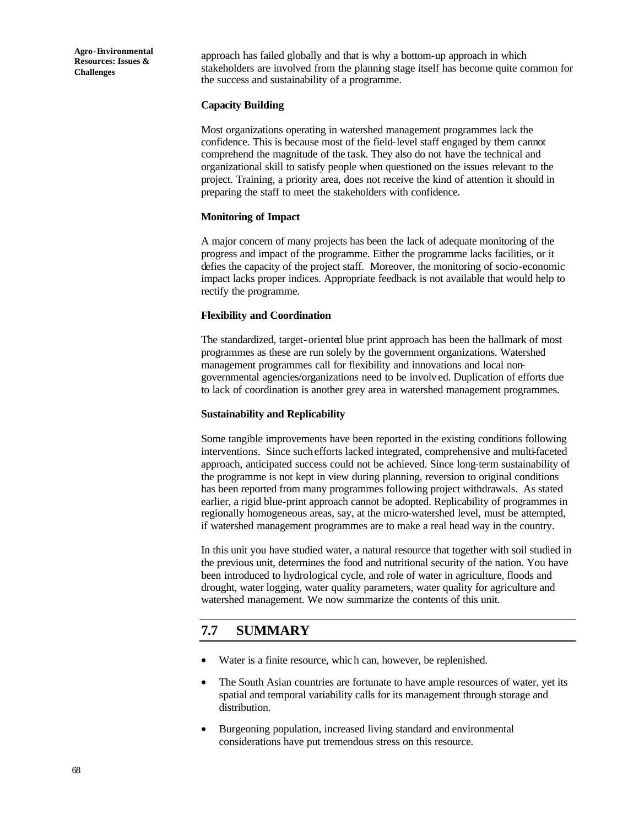approach has failed globally and that is why a bottom-up approach in which stakeholders are involved from the planning stage itself has become quite common for the success and sustainability of a programme.

### **Capacity Building**

Most organizations operating in watershed management programmes lack the confidence. This is because most of the field-level staff engaged by them cannot comprehend the magnitude of the task. They also do not have the technical and organizational skill to satisfy people when questioned on the issues relevant to the project. Training, a priority area, does not receive the kind of attention it should in preparing the staff to meet the stakeholders with confidence.

### **Monitoring of Impact**

A major concern of many projects has been the lack of adequate monitoring of the progress and impact of the programme. Either the programme lacks facilities, or it defies the capacity of the project staff. Moreover, the monitoring of socio-economic impact lacks proper indices. Appropriate feedback is not available that would help to rectify the programme.

### **Flexibility and Coordination**

The standardized, target-oriented blue print approach has been the hallmark of most programmes as these are run solely by the government organizations. Watershed management programmes call for flexibility and innovations and local nongovernmental agencies/organizations need to be involved. Duplication of efforts due to lack of coordination is another grey area in watershed management programmes.

### **Sustainability and Replicability**

Some tangible improvements have been reported in the existing conditions following interventions. Since such efforts lacked integrated, comprehensive and multi-faceted approach, anticipated success could not be achieved. Since long-term sustainability of the programme is not kept in view during planning, reversion to original conditions has been reported from many programmes following project withdrawals. As stated earlier, a rigid blue-print approach cannot be adopted. Replicability of programmes in regionally homogeneous areas, say, at the micro-watershed level, must be attempted, if watershed management programmes are to make a real head way in the country.

In this unit you have studied water, a natural resource that together with soil studied in the previous unit, determines the food and nutritional security of the nation. You have been introduced to hydrological cycle, and role of water in agriculture, floods and drought, water logging, water quality parameters, water quality for agriculture and watershed management. We now summarize the contents of this unit.

# **7.7 SUMMARY**

- Water is a finite resource, which can, however, be replenished.
- The South Asian countries are fortunate to have ample resources of water, yet its spatial and temporal variability calls for its management through storage and distribution.
- Burgeoning population, increased living standard and environmental considerations have put tremendous stress on this resource.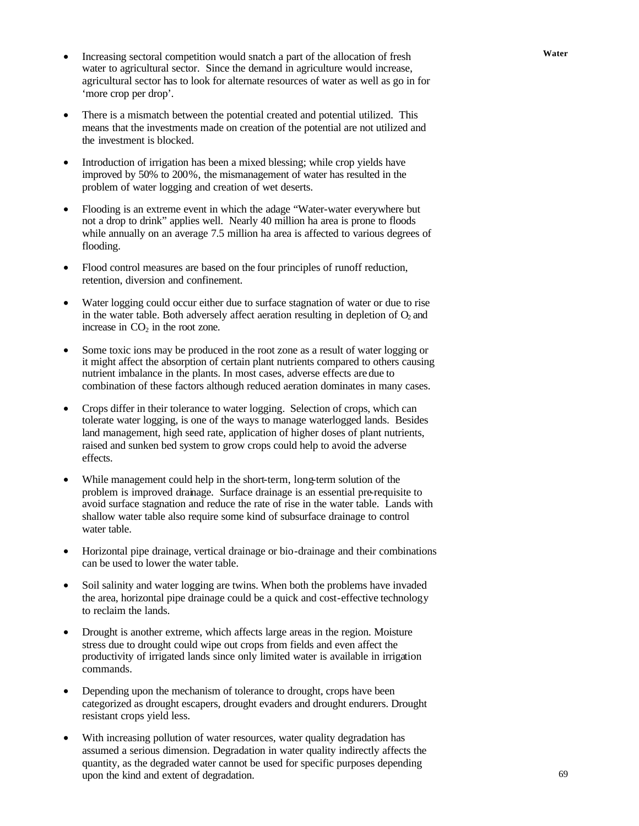- Increasing sectoral competition would snatch a part of the allocation of fresh Water water to agricultural sector. Since the demand in agriculture would increase, agricultural sector has to look for alternate resources of water as well as go in for 'more crop per drop'.
- There is a mismatch between the potential created and potential utilized. This means that the investments made on creation of the potential are not utilized and the investment is blocked.
- Introduction of irrigation has been a mixed blessing; while crop yields have improved by 50% to 200%, the mismanagement of water has resulted in the problem of water logging and creation of wet deserts.
- Flooding is an extreme event in which the adage "Water-water everywhere but not a drop to drink" applies well. Nearly 40 million ha area is prone to floods while annually on an average 7.5 million ha area is affected to various degrees of flooding.
- Flood control measures are based on the four principles of runoff reduction, retention, diversion and confinement.
- Water logging could occur either due to surface stagnation of water or due to rise in the water table. Both adversely affect aeration resulting in depletion of  $O<sub>2</sub>$  and increase in  $CO<sub>2</sub>$  in the root zone.
- Some toxic ions may be produced in the root zone as a result of water logging or it might affect the absorption of certain plant nutrients compared to others causing nutrient imbalance in the plants. In most cases, adverse effects are due to combination of these factors although reduced aeration dominates in many cases.
- Crops differ in their tolerance to water logging. Selection of crops, which can tolerate water logging, is one of the ways to manage waterlogged lands. Besides land management, high seed rate, application of higher doses of plant nutrients, raised and sunken bed system to grow crops could help to avoid the adverse effects.
- While management could help in the short-term, long-term solution of the problem is improved drainage. Surface drainage is an essential pre-requisite to avoid surface stagnation and reduce the rate of rise in the water table. Lands with shallow water table also require some kind of subsurface drainage to control water table.
- Horizontal pipe drainage, vertical drainage or bio-drainage and their combinations can be used to lower the water table.
- Soil salinity and water logging are twins. When both the problems have invaded the area, horizontal pipe drainage could be a quick and cost-effective technology to reclaim the lands.
- Drought is another extreme, which affects large areas in the region. Moisture stress due to drought could wipe out crops from fields and even affect the productivity of irrigated lands since only limited water is available in irrigation commands.
- Depending upon the mechanism of tolerance to drought, crops have been categorized as drought escapers, drought evaders and drought endurers. Drought resistant crops yield less.
- With increasing pollution of water resources, water quality degradation has assumed a serious dimension. Degradation in water quality indirectly affects the quantity, as the degraded water cannot be used for specific purposes depending upon the kind and extent of degradation.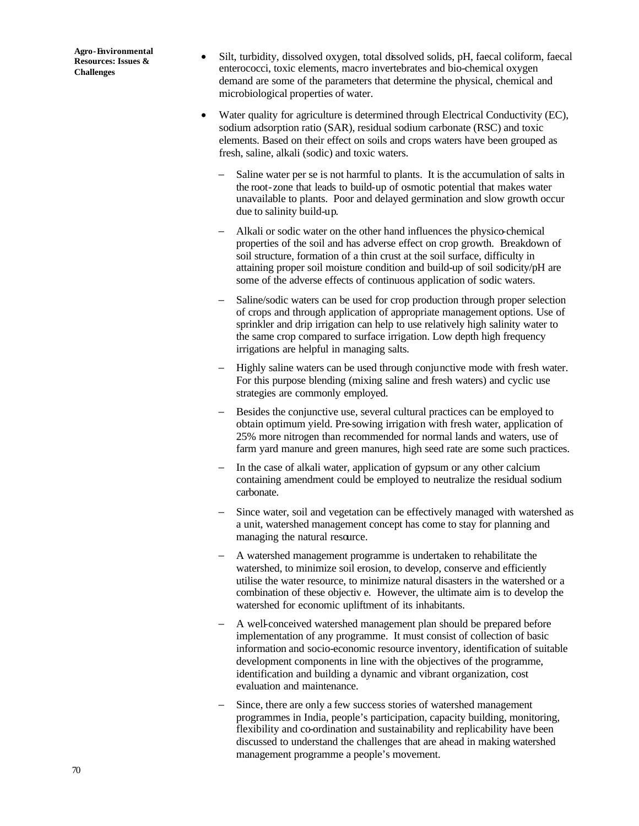- Silt, turbidity, dissolved oxygen, total dissolved solids, pH, faecal coliform, faecal enterococci, toxic elements, macro invertebrates and bio-chemical oxygen demand are some of the parameters that determine the physical, chemical and microbiological properties of water.
- Water quality for agriculture is determined through Electrical Conductivity (EC), sodium adsorption ratio (SAR), residual sodium carbonate (RSC) and toxic elements. Based on their effect on soils and crops waters have been grouped as fresh, saline, alkali (sodic) and toxic waters.
	- Saline water per se is not harmful to plants. It is the accumulation of salts in the root-zone that leads to build-up of osmotic potential that makes water unavailable to plants. Poor and delayed germination and slow growth occur due to salinity build-up.
	- − Alkali or sodic water on the other hand influences the physico-chemical properties of the soil and has adverse effect on crop growth. Breakdown of soil structure, formation of a thin crust at the soil surface, difficulty in attaining proper soil moisture condition and build-up of soil sodicity/pH are some of the adverse effects of continuous application of sodic waters.
	- − Saline/sodic waters can be used for crop production through proper selection of crops and through application of appropriate management options. Use of sprinkler and drip irrigation can help to use relatively high salinity water to the same crop compared to surface irrigation. Low depth high frequency irrigations are helpful in managing salts.
	- − Highly saline waters can be used through conjunctive mode with fresh water. For this purpose blending (mixing saline and fresh waters) and cyclic use strategies are commonly employed.
	- − Besides the conjunctive use, several cultural practices can be employed to obtain optimum yield. Pre-sowing irrigation with fresh water, application of 25% more nitrogen than recommended for normal lands and waters, use of farm yard manure and green manures, high seed rate are some such practices.
	- − In the case of alkali water, application of gypsum or any other calcium containing amendment could be employed to neutralize the residual sodium carbonate.
	- − Since water, soil and vegetation can be effectively managed with watershed as a unit, watershed management concept has come to stay for planning and managing the natural resource.
	- − A watershed management programme is undertaken to rehabilitate the watershed, to minimize soil erosion, to develop, conserve and efficiently utilise the water resource, to minimize natural disasters in the watershed or a combination of these objectiv e. However, the ultimate aim is to develop the watershed for economic upliftment of its inhabitants.
	- − A well-conceived watershed management plan should be prepared before implementation of any programme. It must consist of collection of basic information and socio-economic resource inventory, identification of suitable development components in line with the objectives of the programme, identification and building a dynamic and vibrant organization, cost evaluation and maintenance.
	- Since, there are only a few success stories of watershed management programmes in India, people's participation, capacity building, monitoring, flexibility and co-ordination and sustainability and replicability have been discussed to understand the challenges that are ahead in making watershed management programme a people's movement.